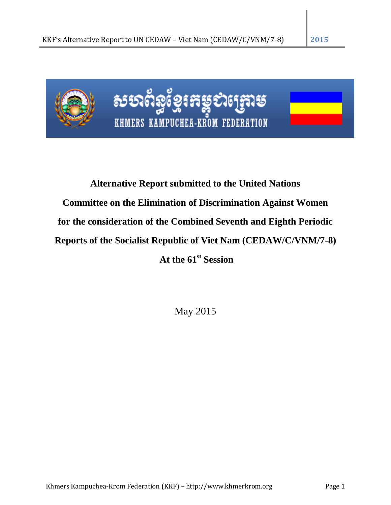

# **Alternative Report submitted to the United Nations Committee on the Elimination of Discrimination Against Women for the consideration of the Combined Seventh and Eighth Periodic Reports of the Socialist Republic of Viet Nam (CEDAW/C/VNM/7-8)**

**At the 61st Session**

May 2015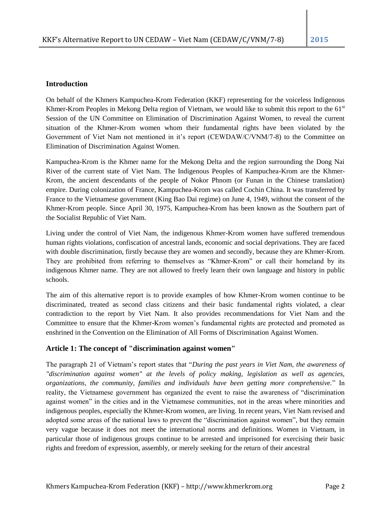## **Introduction**

On behalf of the Khmers Kampuchea-Krom Federation (KKF) representing for the voiceless Indigenous Khmer-Krom Peoples in Mekong Delta region of Vietnam, we would like to submit this report to the  $61<sup>st</sup>$ Session of the UN Committee on Elimination of Discrimination Against Women, to reveal the current situation of the Khmer-Krom women whom their fundamental rights have been violated by the Government of Viet Nam not mentioned in it's report (CEWDAW/C/VNM/7-8) to the Committee on Elimination of Discrimination Against Women.

Kampuchea-Krom is the Khmer name for the Mekong Delta and the region surrounding the Dong Nai River of the current state of Viet Nam. The Indigenous Peoples of Kampuchea-Krom are the Khmer-Krom, the ancient descendants of the people of Nokor Phnom (or Funan in the Chinese translation) empire. During colonization of France, Kampuchea-Krom was called Cochin China. It was transferred by France to the Vietnamese government (King Bao Dai regime) on June 4, 1949, without the consent of the Khmer-Krom people. Since April 30, 1975, Kampuchea-Krom has been known as the Southern part of the Socialist Republic of Viet Nam.

Living under the control of Viet Nam, the indigenous Khmer-Krom women have suffered tremendous human rights violations, confiscation of ancestral lands, economic and social deprivations. They are faced with double discrimination, firstly because they are women and secondly, because they are Khmer-Krom. They are prohibited from referring to themselves as "Khmer-Krom" or call their homeland by its indigenous Khmer name. They are not allowed to freely learn their own language and history in public schools.

The aim of this alternative report is to provide examples of how Khmer-Krom women continue to be discriminated, treated as second class citizens and their basic fundamental rights violated, a clear contradiction to the report by Viet Nam. It also provides recommendations for Viet Nam and the Committee to ensure that the Khmer-Krom women's fundamental rights are protected and promoted as enshrined in the Convention on the Elimination of All Forms of Discrimination Against Women.

# **Article 1: The concept of "discrimination against women"**

The paragraph 21 of Vietnam's report states that "*During the past years in Viet Nam, the awareness of "discrimination against women" at the levels of policy making, legislation as well as agencies, organizations, the community, families and individuals have been getting more comprehensive.*" In reality, the Vietnamese government has organized the event to raise the awareness of "discrimination against women" in the cities and in the Vietnamese communities, not in the areas where minorities and indigenous peoples, especially the Khmer-Krom women, are living. In recent years, Viet Nam revised and adopted some areas of the national laws to prevent the "discrimination against women", but they remain very vague because it does not meet the international norms and definitions. Women in Vietnam, in particular those of indigenous groups continue to be arrested and imprisoned for exercising their basic rights and freedom of expression, assembly, or merely seeking for the return of their ancestral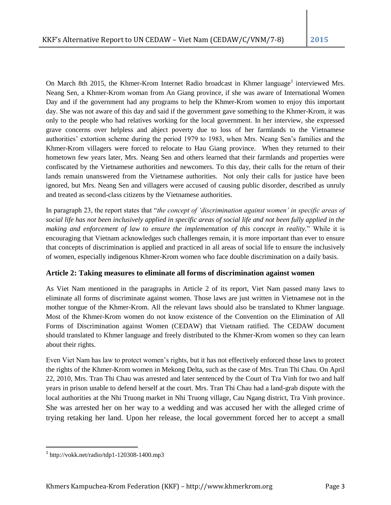On March 8th 2015, the Khmer-Krom Internet Radio broadcast in Khmer language<sup>1</sup> interviewed Mrs. Neang Sen, a Khmer-Krom woman from An Giang province, if she was aware of International Women Day and if the government had any programs to help the Khmer-Krom women to enjoy this important day. She was not aware of this day and said if the government gave something to the Khmer-Krom, it was only to the people who had relatives working for the local government. In her interview, she expressed grave concerns over helpless and abject poverty due to loss of her farmlands to the Vietnamese authorities' extortion scheme during the period 1979 to 1983, when Mrs. Neang Sen's families and the Khmer-Krom villagers were forced to relocate to Hau Giang province. When they returned to their hometown few years later, Mrs. Neang Sen and others learned that their farmlands and properties were confiscated by the Vietnamese authorities and newcomers. To this day, their calls for the return of their lands remain unanswered from the Vietnamese authorities. Not only their calls for justice have been ignored, but Mrs. Neang Sen and villagers were accused of causing public disorder, described as unruly and treated as second-class citizens by the Vietnamese authorities.

In paragraph 23, the report states that "*the concept of 'discrimination against women' in specific areas of social life has not been inclusively applied in specific areas of social life and not been fully applied in the making and enforcement of law to ensure the implementation of this concept in reality.*" While it is encouraging that Vietnam acknowledges such challenges remain, it is more important than ever to ensure that concepts of discrimination is applied and practiced in all areas of social life to ensure the inclusively of women, especially indigenous Khmer-Krom women who face double discrimination on a daily basis.

# **Article 2: Taking measures to eliminate all forms of discrimination against women**

As Viet Nam mentioned in the paragraphs in Article 2 of its report, Viet Nam passed many laws to eliminate all forms of discriminate against women. Those laws are just written in Vietnamese not in the mother tongue of the Khmer-Krom. All the relevant laws should also be translated to Khmer language. Most of the Khmer-Krom women do not know existence of the Convention on the Elimination of All Forms of Discrimination against Women (CEDAW) that Vietnam ratified. The CEDAW document should translated to Khmer language and freely distributed to the Khmer-Krom women so they can learn about their rights.

Even Viet Nam has law to protect women's rights, but it has not effectively enforced those laws to protect the rights of the Khmer-Krom women in Mekong Delta, such as the case of Mrs. Tran Thi Chau. On April 22, 2010, Mrs. Tran Thi Chau was arrested and later sentenced by the Court of Tra Vinh for two and half years in prison unable to defend herself at the court. Mrs. Tran Thi Chau had a land-grab dispute with the local authorities at the Nhi Truong market in Nhi Truong village, Cau Ngang district, Tra Vinh province. She was arrested her on her way to a wedding and was accused her with the alleged crime of trying retaking her land. Upon her release, the local government forced her to accept a small

 $\overline{\phantom{a}}$ 

<sup>1</sup> http://vokk.net/radio/tdp1-120308-1400.mp3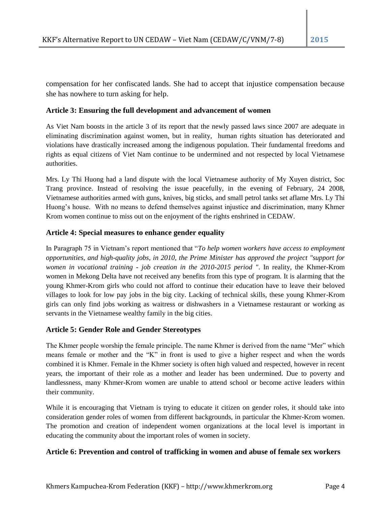compensation for her confiscated lands. She had to accept that injustice compensation because she has nowhere to turn asking for help.

## **Article 3: Ensuring the full development and advancement of women**

As Viet Nam boosts in the article 3 of its report that the newly passed laws since 2007 are adequate in eliminating discrimination against women, but in reality, human rights situation has deteriorated and violations have drastically increased among the indigenous population. Their fundamental freedoms and rights as equal citizens of Viet Nam continue to be undermined and not respected by local Vietnamese authorities.

Mrs. Ly Thi Huong had a land dispute with the local Vietnamese authority of My Xuyen district, Soc Trang province. Instead of resolving the issue peacefully, in the evening of February, 24 2008, Vietnamese authorities armed with guns, knives, big sticks, and small petrol tanks set aflame Mrs. Ly Thi Huong's house. With no means to defend themselves against injustice and discrimination, many Khmer Krom women continue to miss out on the enjoyment of the rights enshrined in CEDAW.

## **Article 4: Special measures to enhance gender equality**

In Paragraph 75 in Vietnam's report mentioned that "*To help women workers have access to employment opportunities, and high-quality jobs, in 2010, the Prime Minister has approved the project "support for women in vocational training - job creation in the 2010-2015 period "*. In reality, the Khmer-Krom women in Mekong Delta have not received any benefits from this type of program. It is alarming that the young Khmer-Krom girls who could not afford to continue their education have to leave their beloved villages to look for low pay jobs in the big city. Lacking of technical skills, these young Khmer-Krom girls can only find jobs working as waitress or dishwashers in a Vietnamese restaurant or working as servants in the Vietnamese wealthy family in the big cities.

# **Article 5: Gender Role and Gender Stereotypes**

The Khmer people worship the female principle. The name Khmer is derived from the name "Mer" which means female or mother and the "K" in front is used to give a higher respect and when the words combined it is Khmer. Female in the Khmer society is often high valued and respected, however in recent years, the important of their role as a mother and leader has been undermined. Due to poverty and landlessness, many Khmer-Krom women are unable to attend school or become active leaders within their community.

While it is encouraging that Vietnam is trying to educate it citizen on gender roles, it should take into consideration gender roles of women from different backgrounds, in particular the Khmer-Krom women. The promotion and creation of independent women organizations at the local level is important in educating the community about the important roles of women in society.

## **Article 6: Prevention and control of trafficking in women and abuse of female sex workers**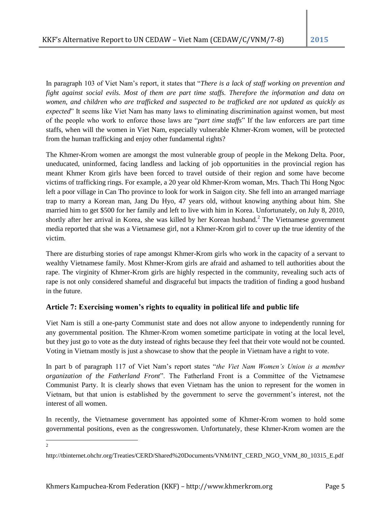In paragraph 103 of Viet Nam's report, it states that "*There is a lack of staff working on prevention and fight against social evils. Most of them are part time staffs. Therefore the information and data on women, and children who are trafficked and suspected to be trafficked are not updated as quickly as expected*" It seems like Viet Nam has many laws to eliminating discrimination against women, but most of the people who work to enforce those laws are "*part time staffs*" If the law enforcers are part time staffs, when will the women in Viet Nam, especially vulnerable Khmer-Krom women, will be protected from the human trafficking and enjoy other fundamental rights?

The Khmer-Krom women are amongst the most vulnerable group of people in the Mekong Delta. Poor, uneducated, uninformed, facing landless and lacking of job opportunities in the provincial region has meant Khmer Krom girls have been forced to travel outside of their region and some have become victims of trafficking rings. For example, a 20 year old Khmer-Krom woman, Mrs. Thach Thi Hong Ngoc left a poor village in Can Tho province to look for work in Saigon city. She fell into an arranged marriage trap to marry a Korean man, Jang Du Hyo, 47 years old, without knowing anything about him. She married him to get \$500 for her family and left to live with him in Korea. Unfortunately, on July 8, 2010, shortly after her arrival in Korea, she was killed by her Korean husband.<sup>2</sup> The Vietnamese government media reported that she was a Vietnamese girl, not a Khmer-Krom girl to cover up the true identity of the victim.

There are disturbing stories of rape amongst Khmer-Krom girls who work in the capacity of a servant to wealthy Vietnamese family. Most Khmer-Krom girls are afraid and ashamed to tell authorities about the rape. The virginity of Khmer-Krom girls are highly respected in the community, revealing such acts of rape is not only considered shameful and disgraceful but impacts the tradition of finding a good husband in the future.

# **Article 7: Exercising women's rights to equality in political life and public life**

Viet Nam is still a one-party Communist state and does not allow anyone to independently running for any governmental position. The Khmer-Krom women sometime participate in voting at the local level, but they just go to vote as the duty instead of rights because they feel that their vote would not be counted. Voting in Vietnam mostly is just a showcase to show that the people in Vietnam have a right to vote.

In part b of paragraph 117 of Viet Nam's report states "*the Viet Nam Women's Union is a member organization of the Fatherland Front*". The Fatherland Front is a Committee of the Vietnamese Communist Party. It is clearly shows that even Vietnam has the union to represent for the women in Vietnam, but that union is established by the government to serve the government's interest, not the interest of all women.

In recently, the Vietnamese government has appointed some of Khmer-Krom women to hold some governmental positions, even as the congresswomen. Unfortunately, these Khmer-Krom women are the

 $\frac{1}{2}$ 

http://tbinternet.ohchr.org/Treaties/CERD/Shared%20Documents/VNM/INT\_CERD\_NGO\_VNM\_80\_10315\_E.pdf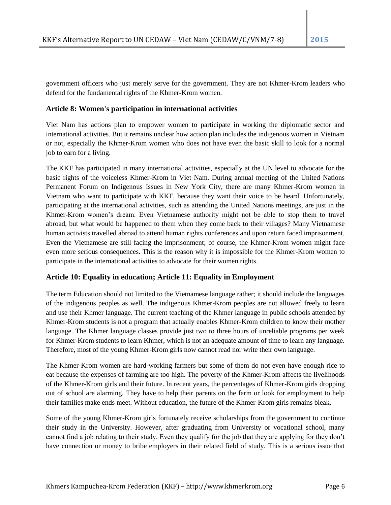government officers who just merely serve for the government. They are not Khmer-Krom leaders who defend for the fundamental rights of the Khmer-Krom women.

## **Article 8: Women's participation in international activities**

Viet Nam has actions plan to empower women to participate in working the diplomatic sector and international activities. But it remains unclear how action plan includes the indigenous women in Vietnam or not, especially the Khmer-Krom women who does not have even the basic skill to look for a normal job to earn for a living.

The KKF has participated in many international activities, especially at the UN level to advocate for the basic rights of the voiceless Khmer-Krom in Viet Nam. During annual meeting of the United Nations Permanent Forum on Indigenous Issues in New York City, there are many Khmer-Krom women in Vietnam who want to participate with KKF, because they want their voice to be heard. Unfortunately, participating at the international activities, such as attending the United Nations meetings, are just in the Khmer-Krom women's dream. Even Vietnamese authority might not be able to stop them to travel abroad, but what would be happened to them when they come back to their villages? Many Vietnamese human activists travelled abroad to attend human rights conferences and upon return faced imprisonment. Even the Vietnamese are still facing the imprisonment; of course, the Khmer-Krom women might face even more serious consequences. This is the reason why it is impossible for the Khmer-Krom women to participate in the international activities to advocate for their women rights.

# **Article 10: Equality in education; Article 11: Equality in Employment**

The term Education should not limited to the Vietnamese language rather; it should include the languages of the indigenous peoples as well. The indigenous Khmer-Krom peoples are not allowed freely to learn and use their Khmer language. The current teaching of the Khmer language in public schools attended by Khmer-Krom students is not a program that actually enables Khmer-Krom children to know their mother language. The Khmer language classes provide just two to three hours of unreliable programs per week for Khmer-Krom students to learn Khmer, which is not an adequate amount of time to learn any language. Therefore, most of the young Khmer-Krom girls now cannot read nor write their own language.

The Khmer-Krom women are hard-working farmers but some of them do not even have enough rice to eat because the expenses of farming are too high. The poverty of the Khmer-Krom affects the livelihoods of the Khmer-Krom girls and their future. In recent years, the percentages of Khmer-Krom girls dropping out of school are alarming. They have to help their parents on the farm or look for employment to help their families make ends meet. Without education, the future of the Khmer-Krom girls remains bleak.

Some of the young Khmer-Krom girls fortunately receive scholarships from the government to continue their study in the University. However, after graduating from University or vocational school, many cannot find a job relating to their study. Even they qualify for the job that they are applying for they don't have connection or money to bribe employers in their related field of study. This is a serious issue that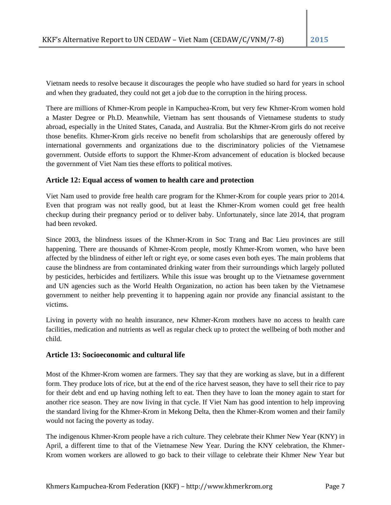Vietnam needs to resolve because it discourages the people who have studied so hard for years in school and when they graduated, they could not get a job due to the corruption in the hiring process.

There are millions of Khmer-Krom people in Kampuchea-Krom, but very few Khmer-Krom women hold a Master Degree or Ph.D. Meanwhile, Vietnam has sent thousands of Vietnamese students to study abroad, especially in the United States, Canada, and Australia. But the Khmer-Krom girls do not receive those benefits. Khmer-Krom girls receive no benefit from scholarships that are generously offered by international governments and organizations due to the discriminatory policies of the Vietnamese government. Outside efforts to support the Khmer-Krom advancement of education is blocked because the government of Viet Nam ties these efforts to political motives.

## **Article 12: Equal access of women to health care and protection**

Viet Nam used to provide free health care program for the Khmer-Krom for couple years prior to 2014. Even that program was not really good, but at least the Khmer-Krom women could get free health checkup during their pregnancy period or to deliver baby. Unfortunately, since late 2014, that program had been revoked.

Since 2003, the blindness issues of the Khmer-Krom in Soc Trang and Bac Lieu provinces are still happening. There are thousands of Khmer-Krom people, mostly Khmer-Krom women, who have been affected by the blindness of either left or right eye, or some cases even both eyes. The main problems that cause the blindness are from contaminated drinking water from their surroundings which largely polluted by pesticides, herbicides and fertilizers. While this issue was brought up to the Vietnamese government and UN agencies such as the World Health Organization, no action has been taken by the Vietnamese government to neither help preventing it to happening again nor provide any financial assistant to the victims.

Living in poverty with no health insurance, new Khmer-Krom mothers have no access to health care facilities, medication and nutrients as well as regular check up to protect the wellbeing of both mother and child.

#### **Article 13: Socioeconomic and cultural life**

Most of the Khmer-Krom women are farmers. They say that they are working as slave, but in a different form. They produce lots of rice, but at the end of the rice harvest season, they have to sell their rice to pay for their debt and end up having nothing left to eat. Then they have to loan the money again to start for another rice season. They are now living in that cycle. If Viet Nam has good intention to help improving the standard living for the Khmer-Krom in Mekong Delta, then the Khmer-Krom women and their family would not facing the poverty as today.

The indigenous Khmer-Krom people have a rich culture. They celebrate their Khmer New Year (KNY) in April, a different time to that of the Vietnamese New Year. During the KNY celebration, the Khmer-Krom women workers are allowed to go back to their village to celebrate their Khmer New Year but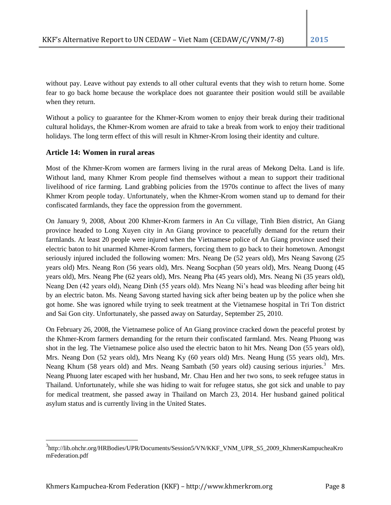without pay. Leave without pay extends to all other cultural events that they wish to return home. Some fear to go back home because the workplace does not guarantee their position would still be available when they return.

Without a policy to guarantee for the Khmer-Krom women to enjoy their break during their traditional cultural holidays, the Khmer-Krom women are afraid to take a break from work to enjoy their traditional holidays. The long term effect of this will result in Khmer-Krom losing their identity and culture.

## **Article 14: Women in rural areas**

 $\overline{a}$ 

Most of the Khmer-Krom women are farmers living in the rural areas of Mekong Delta. Land is life. Without land, many Khmer Krom people find themselves without a mean to support their traditional livelihood of rice farming. Land grabbing policies from the 1970s continue to affect the lives of many Khmer Krom people today. Unfortunately, when the Khmer-Krom women stand up to demand for their confiscated farmlands, they face the oppression from the government.

On January 9, 2008, About 200 Khmer-Krom farmers in An Cu village, Tinh Bien district, An Giang province headed to Long Xuyen city in An Giang province to peacefully demand for the return their farmlands. At least 20 people were injured when the Vietnamese police of An Giang province used their electric baton to hit unarmed Khmer-Krom farmers, forcing them to go back to their hometown. Amongst seriously injured included the following women: Mrs. Neang De (52 years old), Mrs Neang Savong (25 years old) Mrs. Neang Ron (56 years old), Mrs. Neang Socphan (50 years old), Mrs. Neang Duong (45 years old), Mrs. Neang Phe (62 years old), Mrs. Neang Pha (45 years old), Mrs. Neang Ni (35 years old), Neang Den (42 years old), Neang Dinh (55 years old). Mrs Neang Ni's head was bleeding after being hit by an electric baton. Ms. Neang Savong started having sick after being beaten up by the police when she got home. She was ignored while trying to seek treatment at the Vietnamese hospital in Tri Ton district and Sai Gon city. Unfortunately, she passed away on Saturday, September 25, 2010.

On February 26, 2008, the Vietnamese police of An Giang province cracked down the peaceful protest by the Khmer-Krom farmers demanding for the return their confiscated farmland. Mrs. Neang Phuong was shot in the leg. The Vietnamese police also used the electric baton to hit Mrs. Neang Don (55 years old), Mrs. Neang Don (52 years old), Mrs Neang Ky (60 years old) Mrs. Neang Hung (55 years old), Mrs. Neang Khum (58 years old) and Mrs. Neang Sambath (50 years old) causing serious injuries.<sup>3</sup> Mrs. Neang Phuong later escaped with her husband, Mr. Chau Hen and her two sons, to seek refugee status in Thailand. Unfortunately, while she was hiding to wait for refugee status, she got sick and unable to pay for medical treatment, she passed away in Thailand on March 23, 2014. Her husband gained political asylum status and is currently living in the United States.

<sup>3&</sup>lt;br>http://lib.ohchr.org/HRBodies/UPR/Documents/Session5/VN/KKF\_VNM\_UPR\_S5\_2009\_KhmersKampucheaKro mFederation.pdf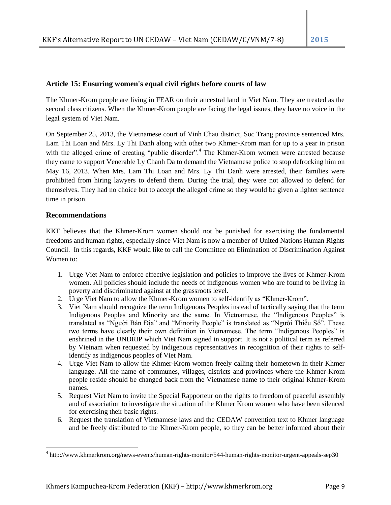## **Article 15: Ensuring women's equal civil rights before courts of law**

The Khmer-Krom people are living in FEAR on their ancestral land in Viet Nam. They are treated as the second class citizens. When the Khmer-Krom people are facing the legal issues, they have no voice in the legal system of Viet Nam.

On September 25, 2013, the Vietnamese court of Vinh Chau district, Soc Trang province sentenced Mrs. Lam Thi Loan and Mrs. Ly Thi Danh along with other two Khmer-Krom man for up to a year in prison with the alleged crime of creating "public disorder".<sup>4</sup> The Khmer-Krom women were arrested because they came to support Venerable Ly Chanh Da to demand the Vietnamese police to stop defrocking him on May 16, 2013. When Mrs. Lam Thi Loan and Mrs. Ly Thi Danh were arrested, their families were prohibited from hiring lawyers to defend them. During the trial, they were not allowed to defend for themselves. They had no choice but to accept the alleged crime so they would be given a lighter sentence time in prison.

## **Recommendations**

 $\overline{\phantom{a}}$ 

KKF believes that the Khmer-Krom women should not be punished for exercising the fundamental freedoms and human rights, especially since Viet Nam is now a member of United Nations Human Rights Council. In this regards, KKF would like to call the Committee on Elimination of Discrimination Against Women to:

- 1. Urge Viet Nam to enforce effective legislation and policies to improve the lives of Khmer-Krom women. All policies should include the needs of indigenous women who are found to be living in poverty and discriminated against at the grassroots level.
- 2. Urge Viet Nam to allow the Khmer-Krom women to self-identify as "Khmer-Krom".
- 3. Viet Nam should recognize the term Indigenous Peoples instead of tactically saying that the term Indigenous Peoples and Minority are the same. In Vietnamese, the "Indigenous Peoples" is translated as "Người Bản Địa" and "Minority People" is translated as "Người Thiểu Số". These two terms have clearly their own definition in Vietnamese. The term "Indigenous Peoples" is enshrined in the UNDRIP which Viet Nam signed in support. It is not a political term as referred by Vietnam when requested by indigenous representatives in recognition of their rights to selfidentify as indigenous peoples of Viet Nam.
- 4. Urge Viet Nam to allow the Khmer-Krom women freely calling their hometown in their Khmer language. All the name of communes, villages, districts and provinces where the Khmer-Krom people reside should be changed back from the Vietnamese name to their original Khmer-Krom names.
- 5. Request Viet Nam to invite the Special Rapporteur on the rights to freedom of peaceful assembly and of association to investigate the situation of the Khmer Krom women who have been silenced for exercising their basic rights.
- 6. Request the translation of Vietnamese laws and the CEDAW convention text to Khmer language and be freely distributed to the Khmer-Krom people, so they can be better informed about their

<sup>&</sup>lt;sup>4</sup> http://www.khmerkrom.org/news-events/human-rights-monitor/544-human-rights-monitor-urgent-appeals-sep30